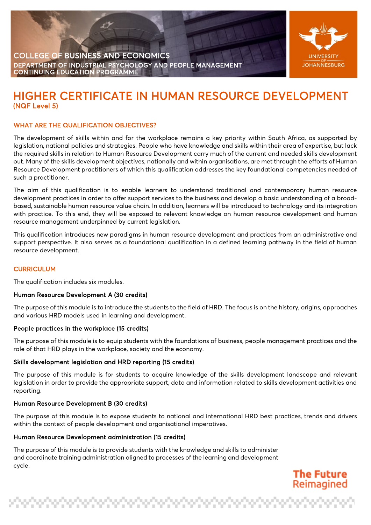



**The Future** Reimagined

# HIGHER CERTIFICATE IN HUMAN RESOURCE DEVELOPMENT

# WHAT ARE THE QUALIFICATION OBJECTIVES?

The development of skills within and for the workplace remains a key priority within South Africa, as supported by legislation, national policies and strategies. People who have knowledge and skills within their area of expertise, but lack the required skills in relation to Human Resource Development carry much of the current and needed skills development out. Many of the skills development objectives, nationally and within organisations, are met through the efforts of Human Resource Development practitioners of which this qualification addresses the key foundational competencies needed of such a practitioner.

The aim of this qualification is to enable learners to understand traditional and contemporary human resource development practices in order to offer support services to the business and develop a basic understanding of a broadbased, sustainable human resource value chain. In addition, learners will be introduced to technology and its integration with practice. To this end, they will be exposed to relevant knowledge on human resource development and human resource management underpinned by current legislation.

This qualification introduces new paradigms in human resource development and practices from an administrative and support perspective. It also serves as a foundational qualification in a defined learning pathway in the field of human resource development.

# **CURRICULUM**

The qualification includes six modules.

# Human Resource Development A (30 credits)

The purpose of this module is to introduce the students to the field of HRD. The focus is on the history, origins, approaches and various HRD models used in learning and development.

# People practices in the workplace (15 credits)

The purpose of this module is to equip students with the foundations of business, people management practices and the role of that HRD plays in the workplace, society and the economy.

# Skills development legislation and HRD reporting (15 credits)

The purpose of this module is for students to acquire knowledge of the skills development landscape and relevant legislation in order to provide the appropriate support, data and information related to skills development activities and reporting.

# Human Resource Development B (30 credits)

The purpose of this module is to expose students to national and international HRD best practices, trends and drivers within the context of people development and organisational imperatives.

# Human Resource Development administration (15 credits)

The purpose of this module is to provide students with the knowledge and skills to administer and coordinate training administration aligned to processes of the learning and development cycle.